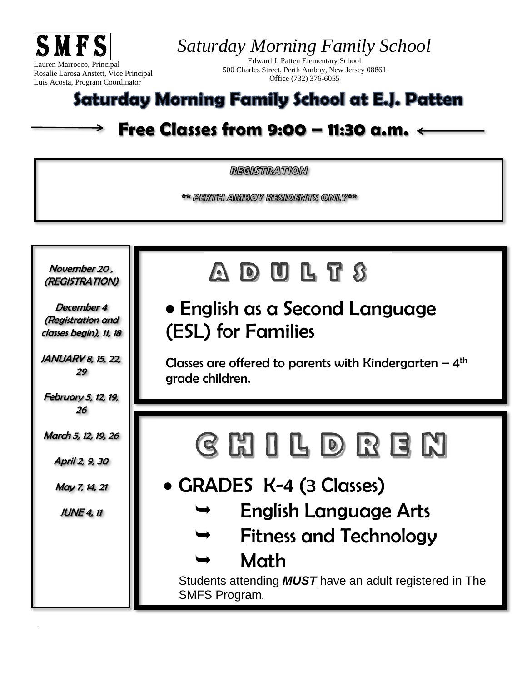

*Saturday Morning Family School*

Edward J. Patten Elementary School 500 Charles Street, Perth Amboy, New Jersey 08861 Office (732) 376-6055

## Saturday Morning Family School at E.J. Patten

## **Free Classes from 9:00 – 11:30 a.m.**

*REGISTRATION* 

\*\* PERTH AMBOY RESIDENTS ONLY\*\*